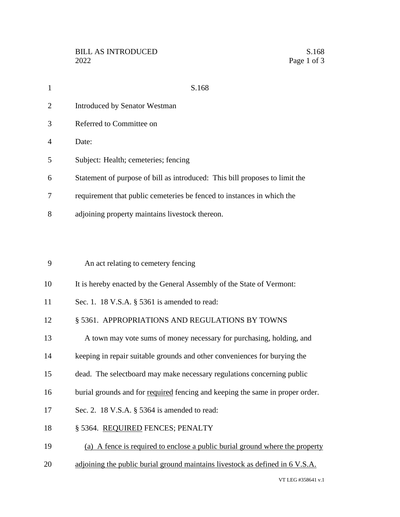| $\mathbf{1}$   | S.168                                                                         |
|----------------|-------------------------------------------------------------------------------|
| $\overline{2}$ | <b>Introduced by Senator Westman</b>                                          |
| 3              | Referred to Committee on                                                      |
| 4              | Date:                                                                         |
| 5              | Subject: Health; cemeteries; fencing                                          |
| 6              | Statement of purpose of bill as introduced: This bill proposes to limit the   |
| 7              | requirement that public cemeteries be fenced to instances in which the        |
| 8              | adjoining property maintains livestock thereon.                               |
|                |                                                                               |
| 9              | An act relating to cemetery fencing                                           |
| 10             | It is hereby enacted by the General Assembly of the State of Vermont:         |
| 11             | Sec. 1. 18 V.S.A. § 5361 is amended to read:                                  |
| 12             | § 5361. APPROPRIATIONS AND REGULATIONS BY TOWNS                               |
| 13             | A town may vote sums of money necessary for purchasing, holding, and          |
| 14             | keeping in repair suitable grounds and other conveniences for burying the     |
| 15             | dead. The selectboard may make necessary regulations concerning public        |
| 16             | burial grounds and for required fencing and keeping the same in proper order. |
| 17             | Sec. 2. 18 V.S.A. § 5364 is amended to read:                                  |
| 18             | § 5364. REQUIRED FENCES; PENALTY                                              |
| 19             | (a) A fence is required to enclose a public burial ground where the property  |
| 20             | adjoining the public burial ground maintains livestock as defined in 6 V.S.A. |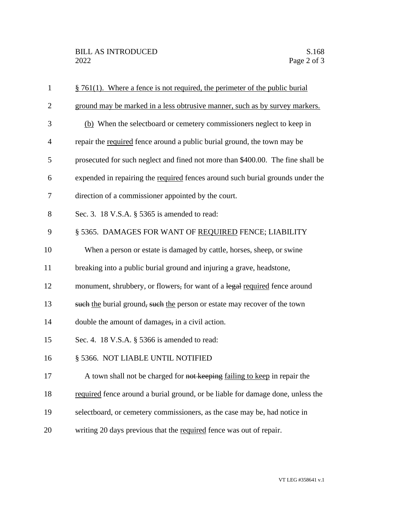| $\mathbf{1}$   | $§$ 761(1). Where a fence is not required, the perimeter of the public burial   |
|----------------|---------------------------------------------------------------------------------|
| $\overline{2}$ | ground may be marked in a less obtrusive manner, such as by survey markers.     |
| 3              | (b) When the selectboard or cemetery commissioners neglect to keep in           |
| $\overline{4}$ | repair the required fence around a public burial ground, the town may be        |
| 5              | prosecuted for such neglect and fined not more than \$400.00. The fine shall be |
| 6              | expended in repairing the required fences around such burial grounds under the  |
| 7              | direction of a commissioner appointed by the court.                             |
| 8              | Sec. 3. 18 V.S.A. § 5365 is amended to read:                                    |
| 9              | § 5365. DAMAGES FOR WANT OF REQUIRED FENCE; LIABILITY                           |
| 10             | When a person or estate is damaged by cattle, horses, sheep, or swine           |
| 11             | breaking into a public burial ground and injuring a grave, headstone,           |
| 12             | monument, shrubbery, or flowers, for want of a legal required fence around      |
| 13             | such the burial ground, such the person or estate may recover of the town       |
| 14             | double the amount of damages, in a civil action.                                |
| 15             | Sec. 4. 18 V.S.A. § 5366 is amended to read:                                    |
| 16             | § 5366. NOT LIABLE UNTIL NOTIFIED                                               |
| 17             | A town shall not be charged for not keeping failing to keep in repair the       |
| 18             | required fence around a burial ground, or be liable for damage done, unless the |
| 19             | selectboard, or cemetery commissioners, as the case may be, had notice in       |
| 20             | writing 20 days previous that the required fence was out of repair.             |
|                |                                                                                 |